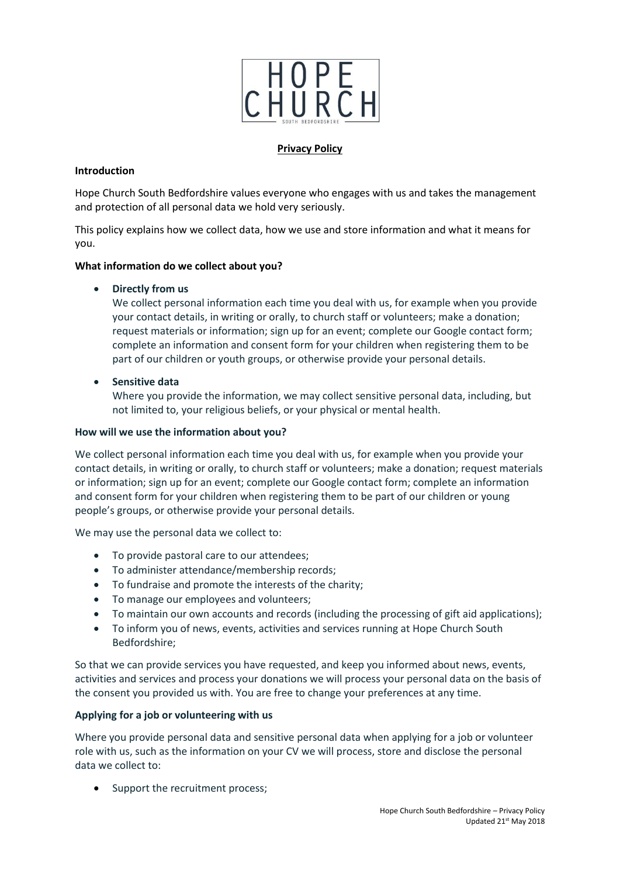

## **Privacy Policy**

## **Introduction**

Hope Church South Bedfordshire values everyone who engages with us and takes the management and protection of all personal data we hold very seriously.

This policy explains how we collect data, how we use and store information and what it means for you.

## **What information do we collect about you?**

**Directly from us**

We collect personal information each time you deal with us, for example when you provide your contact details, in writing or orally, to church staff or volunteers; make a donation; request materials or information; sign up for an event; complete our Google contact form; complete an information and consent form for your children when registering them to be part of our children or youth groups, or otherwise provide your personal details.

**•** Sensitive data

Where you provide the information, we may collect sensitive personal data, including, but not limited to, your religious beliefs, or your physical or mental health.

### **How will we use the information about you?**

We collect personal information each time you deal with us, for example when you provide your contact details, in writing or orally, to church staff or volunteers; make a donation; request materials or information; sign up for an event; complete our Google contact form; complete an information and consent form for your children when registering them to be part of our children or young people's groups, or otherwise provide your personal details.

We may use the personal data we collect to:

- To provide pastoral care to our attendees;
- To administer attendance/membership records;
- To fundraise and promote the interests of the charity;
- To manage our employees and volunteers;
- To maintain our own accounts and records (including the processing of gift aid applications);
- To inform you of news, events, activities and services running at Hope Church South Bedfordshire;

So that we can provide services you have requested, and keep you informed about news, events, activities and services and process your donations we will process your personal data on the basis of the consent you provided us with. You are free to change your preferences at any time.

### **Applying for a job or volunteering with us**

Where you provide personal data and sensitive personal data when applying for a job or volunteer role with us, such as the information on your CV we will process, store and disclose the personal data we collect to:

• Support the recruitment process;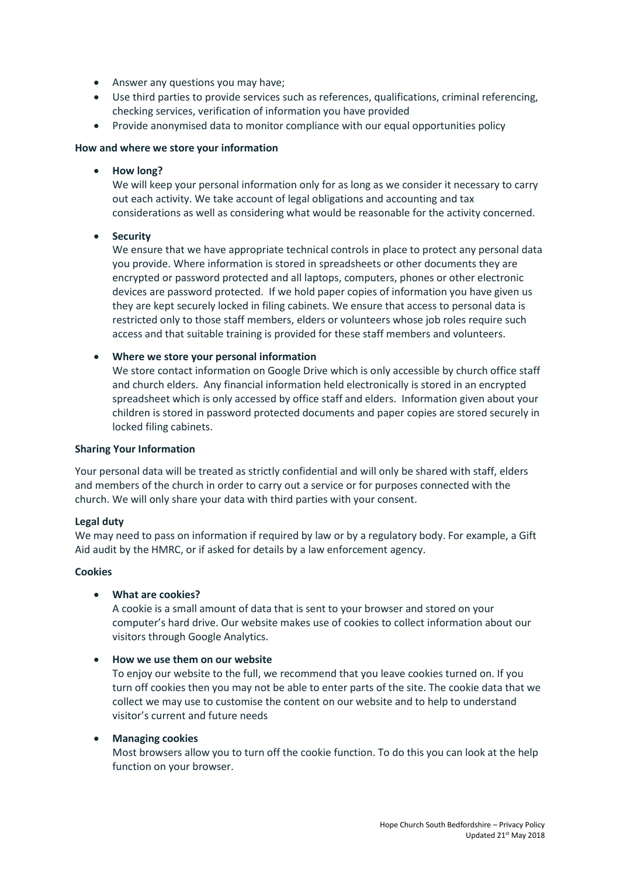- Answer any questions you may have;
- Use third parties to provide services such as references, qualifications, criminal referencing, checking services, verification of information you have provided
- Provide anonymised data to monitor compliance with our equal opportunities policy

### **How and where we store your information**

**How long?**

We will keep your personal information only for as long as we consider it necessary to carry out each activity. We take account of legal obligations and accounting and tax considerations as well as considering what would be reasonable for the activity concerned.

**•** Security

We ensure that we have appropriate technical controls in place to protect any personal data you provide. Where information is stored in spreadsheets or other documents they are encrypted or password protected and all laptops, computers, phones or other electronic devices are password protected. If we hold paper copies of information you have given us they are kept securely locked in filing cabinets. We ensure that access to personal data is restricted only to those staff members, elders or volunteers whose job roles require such access and that suitable training is provided for these staff members and volunteers.

**Where we store your personal information**

We store contact information on Google Drive which is only accessible by church office staff and church elders. Any financial information held electronically is stored in an encrypted spreadsheet which is only accessed by office staff and elders. Information given about your children is stored in password protected documents and paper copies are stored securely in locked filing cabinets.

#### **Sharing Your Information**

Your personal data will be treated as strictly confidential and will only be shared with staff, elders and members of the church in order to carry out a service or for purposes connected with the church. We will only share your data with third parties with your consent.

#### **Legal duty**

We may need to pass on information if required by law or by a regulatory body. For example, a Gift Aid audit by the HMRC, or if asked for details by a law enforcement agency.

## **Cookies**

### **What are cookies?**

A cookie is a small amount of data that is sent to your browser and stored on your computer's hard drive. Our website makes use of cookies to collect information about our visitors through Google Analytics.

### **How we use them on our website**

To enjoy our website to the full, we recommend that you leave cookies turned on. If you turn off cookies then you may not be able to enter parts of the site. The cookie data that we collect we may use to customise the content on our website and to help to understand visitor's current and future needs

#### **Managing cookies**

Most browsers allow you to turn off the cookie function. To do this you can look at the help function on your browser.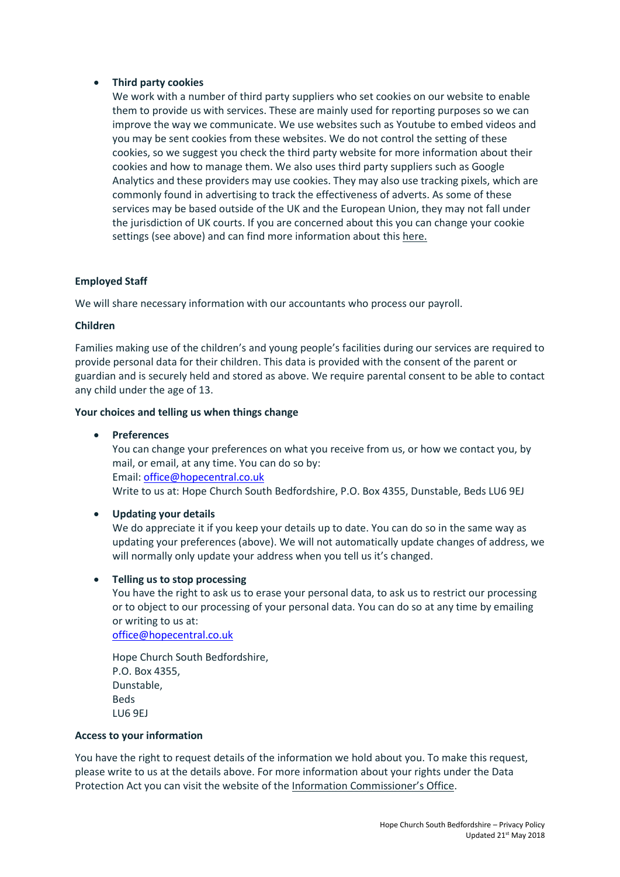## **Third party cookies**

We work with a number of third party suppliers who set cookies on our website to enable them to provide us with services. These are mainly used for reporting purposes so we can improve the way we communicate. We use websites such as Youtube to embed videos and you may be sent cookies from these websites. We do not control the setting of these cookies, so we suggest you check the third party website for more information about their cookies and how to manage them. We also uses third party suppliers such as Google Analytics and these providers may use cookies. They may also use tracking pixels, which are commonly found in advertising to track the effectiveness of adverts. As some of these services may be based outside of the UK and the European Union, they may not fall under the jurisdiction of UK courts. If you are concerned about this you can change your cookie settings (see above) and can find more information about this [here.](https://ico.org.uk/)

## **Employed Staff**

We will share necessary information with our accountants who process our payroll.

### **Children**

Families making use of the children's and young people's facilities during our services are required to provide personal data for their children. This data is provided with the consent of the parent or guardian and is securely held and stored as above. We require parental consent to be able to contact any child under the age of 13.

### **Your choices and telling us when things change**

**Preferences**

You can change your preferences on what you receive from us, or how we contact you, by mail, or email, at any time. You can do so by: Email: [office@hopecentral.co.uk](mailto:office@hopecentral.co.uk) Write to us at: Hope Church South Bedfordshire, P.O. Box 4355, Dunstable, Beds LU6 9EJ

# **Updating your details**

We do appreciate it if you keep your details up to date. You can do so in the same way as updating your preferences (above). We will not automatically update changes of address, we will normally only update your address when you tell us it's changed.

### **Telling us to stop processing**

You have the right to ask us to erase your personal data, to ask us to restrict our processing or to object to our processing of your personal data. You can do so at any time by emailing or writing to us at:

[office@hopecentral.co.uk](mailto:office@hopecentral.co.uk)

Hope Church South Bedfordshire, P.O. Box 4355, Dunstable, Beds LU6 9EJ

### **Access to your information**

You have the right to request details of the information we hold about you. To make this request, please write to us at the details above. For more information about your rights under the Data Protection Act you can visit the website of the Information Co[mmissioner's Office](https://ico.org.uk/).